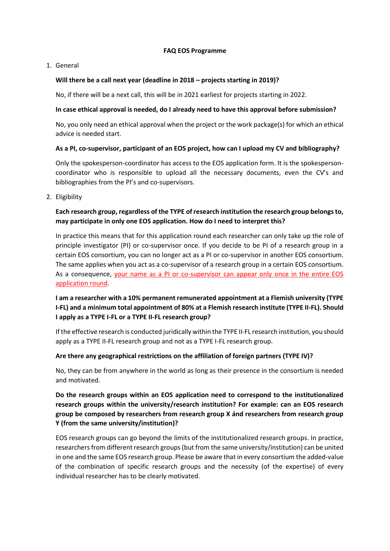### **FAQ EOS Programme**

### 1. General

### **Will there be a call next year (deadline in 2018 – projects starting in 2019)?**

No, if there will be a next call, this will be in 2021 earliest for projects starting in 2022.

### **In case ethical approval is needed, do I already need to have this approval before submission?**

No, you only need an ethical approval when the project or the work package(s) for which an ethical advice is needed start.

### **As a PI, co-supervisor, participant of an EOS project, how can I upload my CV and bibliography?**

Only the spokesperson-coordinator has access to the EOS application form. It is the spokespersoncoordinator who is responsible to upload all the necessary documents, even the CV's and bibliographies from the PI's and co-supervisors.

2. Eligibility

# **Each research group, regardless of the TYPE of research institution the research group belongs to, may participate in only one EOS application. How do I need to interpret this?**

In practice this means that for this application round each researcher can only take up the role of principle investigator (PI) or co-supervisor once. If you decide to be PI of a research group in a certain EOS consortium, you can no longer act as a PI or co-supervisor in another EOS consortium. The same applies when you act as a co-supervisor of a research group in a certain EOS consortium. As a consequence, your name as a PI or co-supervisor can appear only once in the entire EOS application round.

# **I am a researcher with a 10% permanent remunerated appointment at a Flemish university (TYPE I-FL) and a minimum total appointment of 80% at a Flemish research institute (TYPE II-FL). Should I apply as a TYPE I-FL or a TYPE II-FL research group?**

If the effective research is conducted juridically within the TYPE II-FL research institution, you should apply as a TYPE II-FL research group and not as a TYPE I-FL research group.

### **Are there any geographical restrictions on the affiliation of foreign partners (TYPE IV)?**

No, they can be from anywhere in the world as long as their presence in the consortium is needed and motivated.

**Do the research groups within an EOS application need to correspond to the institutionalized research groups within the university/research institution? For example: can an EOS research group be composed by researchers from research group X ánd researchers from research group Y (from the same university/institution)?**

EOS research groups can go beyond the limits of the institutionalized research groups. In practice, researchers from different research groups (but from the same university/institution) can be united in one and the same EOS research group. Please be aware that in every consortium the added-value of the combination of specific research groups and the necessity (of the expertise) of every individual researcher has to be clearly motivated.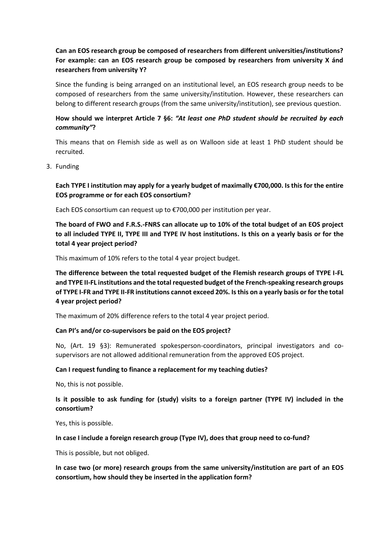# **Can an EOS research group be composed of researchers from different universities/institutions? For example: can an EOS research group be composed by researchers from university X ánd researchers from university Y?**

Since the funding is being arranged on an institutional level, an EOS research group needs to be composed of researchers from the same university/institution. However, these researchers can belong to different research groups (from the same university/institution), see previous question.

# **How should we interpret Article 7 §6:** *"At least one PhD student should be recruited by each community"***?**

This means that on Flemish side as well as on Walloon side at least 1 PhD student should be recruited.

3. Funding

# **Each TYPE I institution may apply for a yearly budget of maximally €700,000. Is this for the entire EOS programme or for each EOS consortium?**

Each EOS consortium can request up to €700,000 per institution per year.

**The board of FWO and F.R.S.-FNRS can allocate up to 10% of the total budget of an EOS project to all included TYPE II, TYPE III and TYPE IV host institutions. Is this on a yearly basis or for the total 4 year project period?**

This maximum of 10% refers to the total 4 year project budget.

**The difference between the total requested budget of the Flemish research groups of TYPE I-FL and TYPE II-FL institutions and the total requested budget of the French-speaking research groups of TYPE I-FR and TYPE II-FR institutions cannot exceed 20%. Is this on a yearly basis or for the total 4 year project period?**

The maximum of 20% difference refers to the total 4 year project period.

### **Can PI's and/or co-supervisors be paid on the EOS project?**

No, (Art. 19 §3): Remunerated spokesperson-coordinators, principal investigators and cosupervisors are not allowed additional remuneration from the approved EOS project.

### **Can I request funding to finance a replacement for my teaching duties?**

No, this is not possible.

## **Is it possible to ask funding for (study) visits to a foreign partner (TYPE IV) included in the consortium?**

Yes, this is possible.

### **In case I include a foreign research group (Type IV), does that group need to co-fund?**

This is possible, but not obliged.

**In case two (or more) research groups from the same university/institution are part of an EOS consortium, how should they be inserted in the application form?**